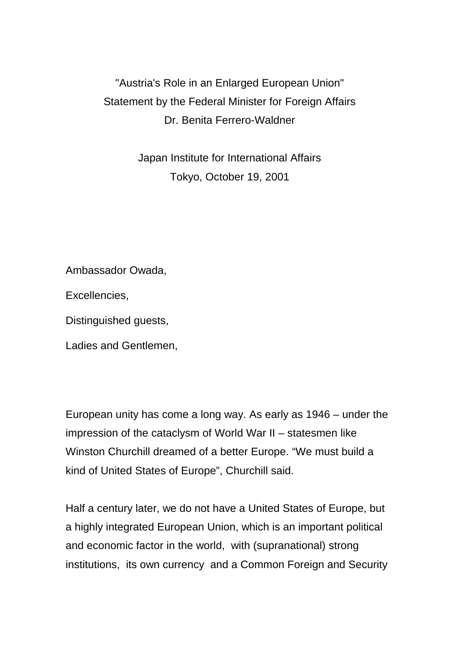"Austria's Role in an Enlarged European Union" Statement by the Federal Minister for Foreign Affairs Dr. Benita Ferrero-Waldner

> Japan Institute for International Affairs Tokyo, October 19, 2001

Ambassador Owada,

Excellencies,

Distinguished guests,

Ladies and Gentlemen,

European unity has come a long way. As early as 1946 – under the impression of the cataclysm of World War II – statesmen like Winston Churchill dreamed of a better Europe. "We must build a kind of United States of Europe", Churchill said.

Half a century later, we do not have a United States of Europe, but a highly integrated European Union, which is an important political and economic factor in the world, with (supranational) strong institutions, its own currency and a Common Foreign and Security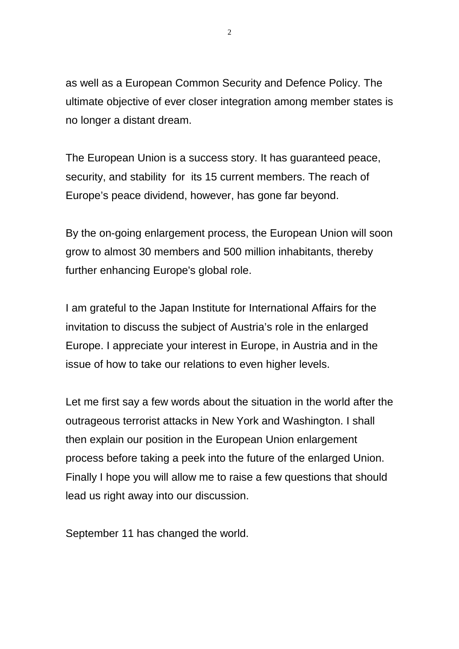as well as a European Common Security and Defence Policy. The ultimate objective of ever closer integration among member states is no longer a distant dream.

The European Union is a success story. It has guaranteed peace, security, and stability for its 15 current members. The reach of Europe's peace dividend, however, has gone far beyond.

By the on-going enlargement process, the European Union will soon grow to almost 30 members and 500 million inhabitants, thereby further enhancing Europe's global role.

I am grateful to the Japan Institute for International Affairs for the invitation to discuss the subject of Austria's role in the enlarged Europe. I appreciate your interest in Europe, in Austria and in the issue of how to take our relations to even higher levels.

Let me first say a few words about the situation in the world after the outrageous terrorist attacks in New York and Washington. I shall then explain our position in the European Union enlargement process before taking a peek into the future of the enlarged Union. Finally I hope you will allow me to raise a few questions that should lead us right away into our discussion.

September 11 has changed the world.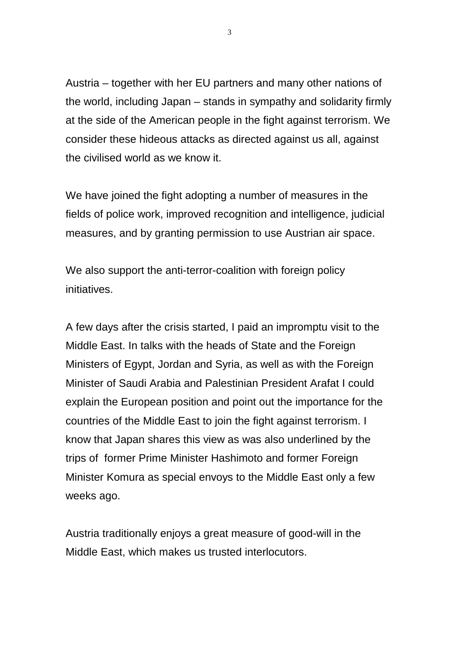Austria – together with her EU partners and many other nations of the world, including Japan – stands in sympathy and solidarity firmly at the side of the American people in the fight against terrorism. We consider these hideous attacks as directed against us all, against the civilised world as we know it.

We have joined the fight adopting a number of measures in the fields of police work, improved recognition and intelligence, judicial measures, and by granting permission to use Austrian air space.

We also support the anti-terror-coalition with foreign policy initiatives.

A few days after the crisis started, I paid an impromptu visit to the Middle East. In talks with the heads of State and the Foreign Ministers of Egypt, Jordan and Syria, as well as with the Foreign Minister of Saudi Arabia and Palestinian President Arafat I could explain the European position and point out the importance for the countries of the Middle East to join the fight against terrorism. I know that Japan shares this view as was also underlined by the trips of former Prime Minister Hashimoto and former Foreign Minister Komura as special envoys to the Middle East only a few weeks ago.

Austria traditionally enjoys a great measure of good-will in the Middle East, which makes us trusted interlocutors.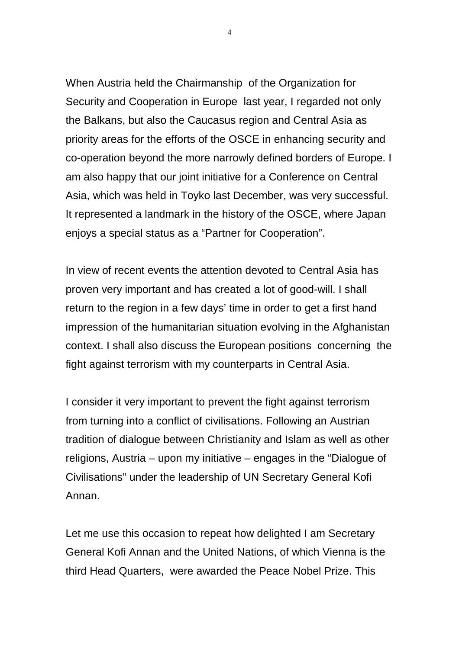When Austria held the Chairmanship of the Organization for Security and Cooperation in Europe last year, I regarded not only the Balkans, but also the Caucasus region and Central Asia as priority areas for the efforts of the OSCE in enhancing security and co-operation beyond the more narrowly defined borders of Europe. I am also happy that our joint initiative for a Conference on Central Asia, which was held in Toyko last December, was very successful. It represented a landmark in the history of the OSCE, where Japan enjoys a special status as a "Partner for Cooperation".

In view of recent events the attention devoted to Central Asia has proven very important and has created a lot of good-will. I shall return to the region in a few days' time in order to get a first hand impression of the humanitarian situation evolving in the Afghanistan context. I shall also discuss the European positions concerning the fight against terrorism with my counterparts in Central Asia.

I consider it very important to prevent the fight against terrorism from turning into a conflict of civilisations. Following an Austrian tradition of dialogue between Christianity and Islam as well as other religions, Austria – upon my initiative – engages in the "Dialogue of Civilisations" under the leadership of UN Secretary General Kofi Annan.

Let me use this occasion to repeat how delighted I am Secretary General Kofi Annan and the United Nations, of which Vienna is the third Head Quarters, were awarded the Peace Nobel Prize. This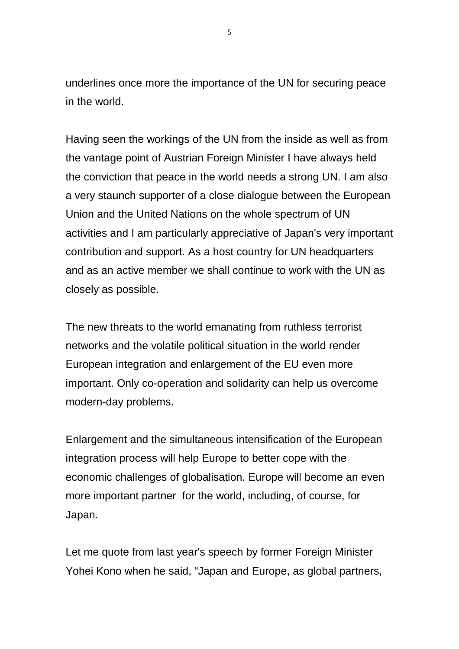underlines once more the importance of the UN for securing peace in the world.

Having seen the workings of the UN from the inside as well as from the vantage point of Austrian Foreign Minister I have always held the conviction that peace in the world needs a strong UN. I am also a very staunch supporter of a close dialogue between the European Union and the United Nations on the whole spectrum of UN activities and I am particularly appreciative of Japan's very important contribution and support. As a host country for UN headquarters and as an active member we shall continue to work with the UN as closely as possible.

The new threats to the world emanating from ruthless terrorist networks and the volatile political situation in the world render European integration and enlargement of the EU even more important. Only co-operation and solidarity can help us overcome modern-day problems.

Enlargement and the simultaneous intensification of the European integration process will help Europe to better cope with the economic challenges of globalisation. Europe will become an even more important partner for the world, including, of course, for Japan.

Let me quote from last year's speech by former Foreign Minister Yohei Kono when he said, "Japan and Europe, as global partners,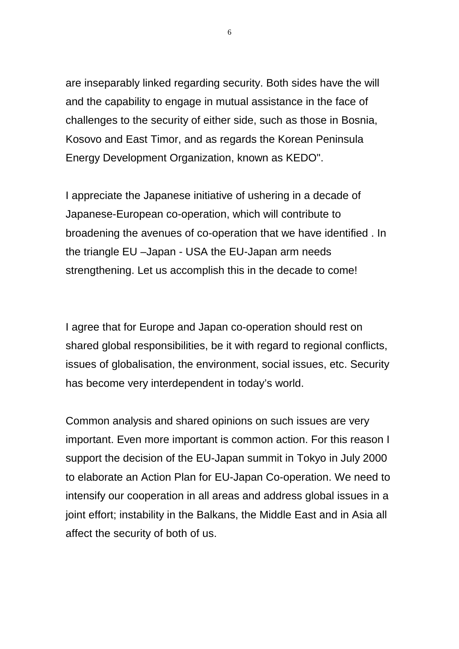are inseparably linked regarding security. Both sides have the will and the capability to engage in mutual assistance in the face of challenges to the security of either side, such as those in Bosnia, Kosovo and East Timor, and as regards the Korean Peninsula Energy Development Organization, known as KEDO".

I appreciate the Japanese initiative of ushering in a decade of Japanese-European co-operation, which will contribute to broadening the avenues of co-operation that we have identified . In the triangle EU –Japan - USA the EU-Japan arm needs strengthening. Let us accomplish this in the decade to come!

I agree that for Europe and Japan co-operation should rest on shared global responsibilities, be it with regard to regional conflicts, issues of globalisation, the environment, social issues, etc. Security has become very interdependent in today's world.

Common analysis and shared opinions on such issues are very important. Even more important is common action. For this reason I support the decision of the EU-Japan summit in Tokyo in July 2000 to elaborate an Action Plan for EU-Japan Co-operation. We need to intensify our cooperation in all areas and address global issues in a joint effort; instability in the Balkans, the Middle East and in Asia all affect the security of both of us.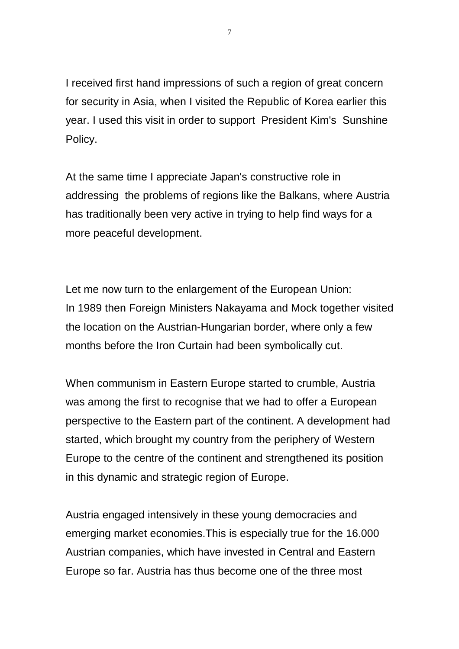I received first hand impressions of such a region of great concern for security in Asia, when I visited the Republic of Korea earlier this year. I used this visit in order to support President Kim's Sunshine Policy.

At the same time I appreciate Japan's constructive role in addressing the problems of regions like the Balkans, where Austria has traditionally been very active in trying to help find ways for a more peaceful development.

Let me now turn to the enlargement of the European Union: In 1989 then Foreign Ministers Nakayama and Mock together visited the location on the Austrian-Hungarian border, where only a few months before the Iron Curtain had been symbolically cut.

When communism in Eastern Europe started to crumble, Austria was among the first to recognise that we had to offer a European perspective to the Eastern part of the continent. A development had started, which brought my country from the periphery of Western Europe to the centre of the continent and strengthened its position in this dynamic and strategic region of Europe.

Austria engaged intensively in these young democracies and emerging market economies.This is especially true for the 16.000 Austrian companies, which have invested in Central and Eastern Europe so far. Austria has thus become one of the three most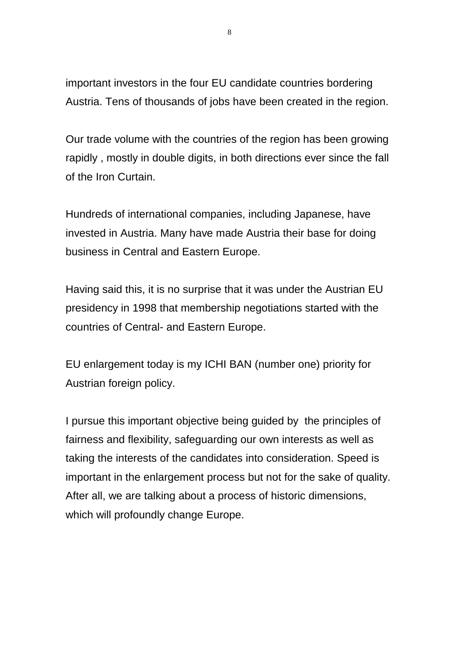important investors in the four EU candidate countries bordering Austria. Tens of thousands of jobs have been created in the region.

Our trade volume with the countries of the region has been growing rapidly , mostly in double digits, in both directions ever since the fall of the Iron Curtain.

Hundreds of international companies, including Japanese, have invested in Austria. Many have made Austria their base for doing business in Central and Eastern Europe.

Having said this, it is no surprise that it was under the Austrian EU presidency in 1998 that membership negotiations started with the countries of Central- and Eastern Europe.

EU enlargement today is my ICHI BAN (number one) priority for Austrian foreign policy.

I pursue this important objective being guided by the principles of fairness and flexibility, safeguarding our own interests as well as taking the interests of the candidates into consideration. Speed is important in the enlargement process but not for the sake of quality. After all, we are talking about a process of historic dimensions, which will profoundly change Europe.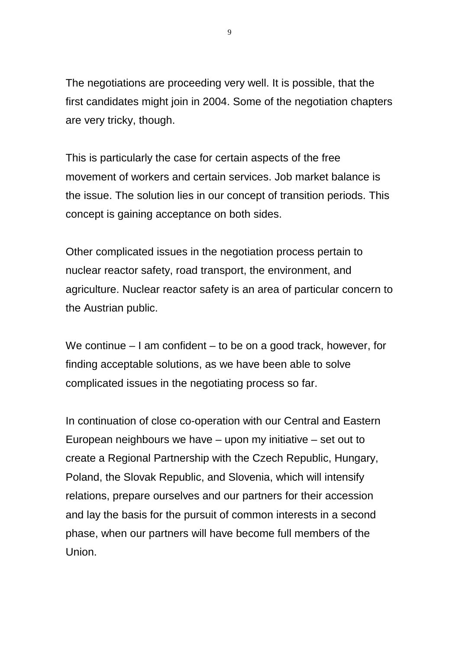The negotiations are proceeding very well. It is possible, that the first candidates might join in 2004. Some of the negotiation chapters are very tricky, though.

This is particularly the case for certain aspects of the free movement of workers and certain services. Job market balance is the issue. The solution lies in our concept of transition periods. This concept is gaining acceptance on both sides.

Other complicated issues in the negotiation process pertain to nuclear reactor safety, road transport, the environment, and agriculture. Nuclear reactor safety is an area of particular concern to the Austrian public.

We continue – I am confident – to be on a good track, however, for finding acceptable solutions, as we have been able to solve complicated issues in the negotiating process so far.

In continuation of close co-operation with our Central and Eastern European neighbours we have – upon my initiative – set out to create a Regional Partnership with the Czech Republic, Hungary, Poland, the Slovak Republic, and Slovenia, which will intensify relations, prepare ourselves and our partners for their accession and lay the basis for the pursuit of common interests in a second phase, when our partners will have become full members of the Union.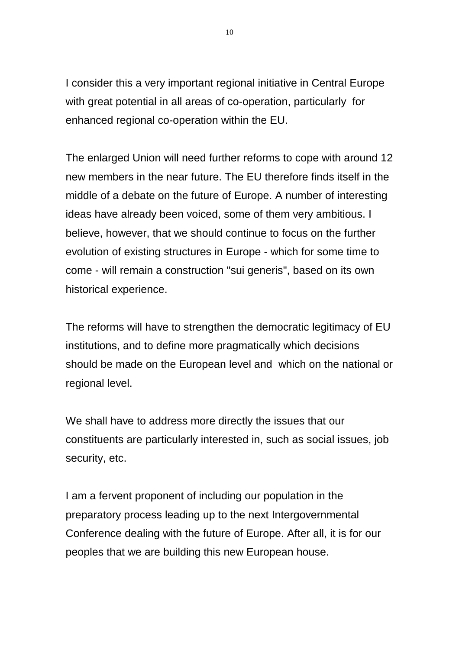I consider this a very important regional initiative in Central Europe with great potential in all areas of co-operation, particularly for enhanced regional co-operation within the EU.

The enlarged Union will need further reforms to cope with around 12 new members in the near future. The EU therefore finds itself in the middle of a debate on the future of Europe. A number of interesting ideas have already been voiced, some of them very ambitious. I believe, however, that we should continue to focus on the further evolution of existing structures in Europe - which for some time to come - will remain a construction "sui generis", based on its own historical experience.

The reforms will have to strengthen the democratic legitimacy of EU institutions, and to define more pragmatically which decisions should be made on the European level and which on the national or regional level.

We shall have to address more directly the issues that our constituents are particularly interested in, such as social issues, job security, etc.

I am a fervent proponent of including our population in the preparatory process leading up to the next Intergovernmental Conference dealing with the future of Europe. After all, it is for our peoples that we are building this new European house.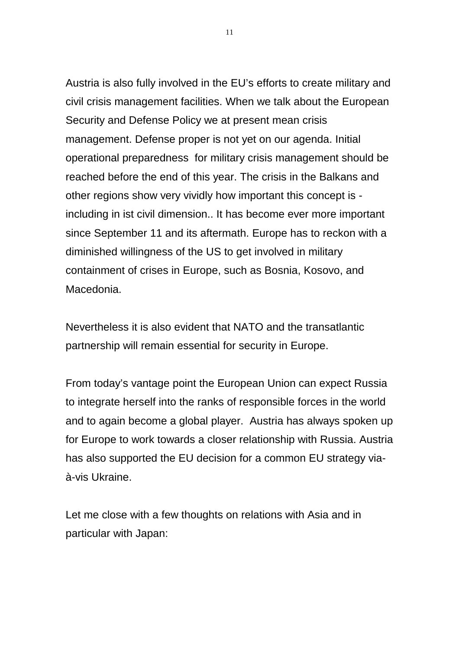Austria is also fully involved in the EU's efforts to create military and civil crisis management facilities. When we talk about the European Security and Defense Policy we at present mean crisis management. Defense proper is not yet on our agenda. Initial operational preparedness for military crisis management should be reached before the end of this year. The crisis in the Balkans and other regions show very vividly how important this concept is including in ist civil dimension.. It has become ever more important since September 11 and its aftermath. Europe has to reckon with a diminished willingness of the US to get involved in military containment of crises in Europe, such as Bosnia, Kosovo, and Macedonia.

Nevertheless it is also evident that NATO and the transatlantic partnership will remain essential for security in Europe.

From today's vantage point the European Union can expect Russia to integrate herself into the ranks of responsible forces in the world and to again become a global player. Austria has always spoken up for Europe to work towards a closer relationship with Russia. Austria has also supported the EU decision for a common EU strategy viaà-vis Ukraine.

Let me close with a few thoughts on relations with Asia and in particular with Japan: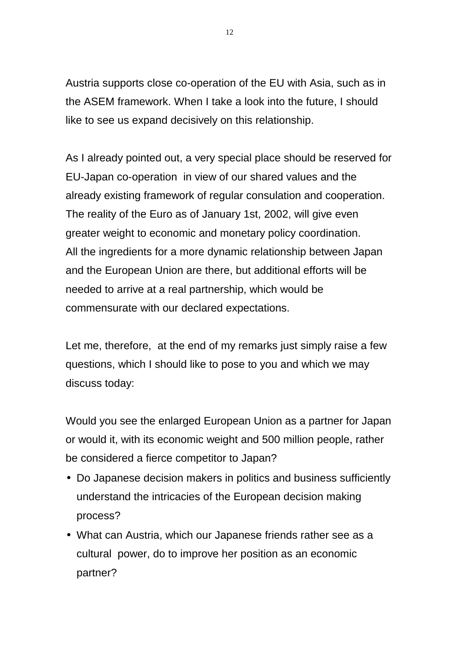Austria supports close co-operation of the EU with Asia, such as in the ASEM framework. When I take a look into the future, I should like to see us expand decisively on this relationship.

As I already pointed out, a very special place should be reserved for EU-Japan co-operation in view of our shared values and the already existing framework of regular consulation and cooperation. The reality of the Euro as of January 1st, 2002, will give even greater weight to economic and monetary policy coordination. All the ingredients for a more dynamic relationship between Japan and the European Union are there, but additional efforts will be needed to arrive at a real partnership, which would be commensurate with our declared expectations.

Let me, therefore, at the end of my remarks just simply raise a few questions, which I should like to pose to you and which we may discuss today:

Would you see the enlarged European Union as a partner for Japan or would it, with its economic weight and 500 million people, rather be considered a fierce competitor to Japan?

- Do Japanese decision makers in politics and business sufficiently understand the intricacies of the European decision making process?
- What can Austria, which our Japanese friends rather see as a cultural power, do to improve her position as an economic partner?